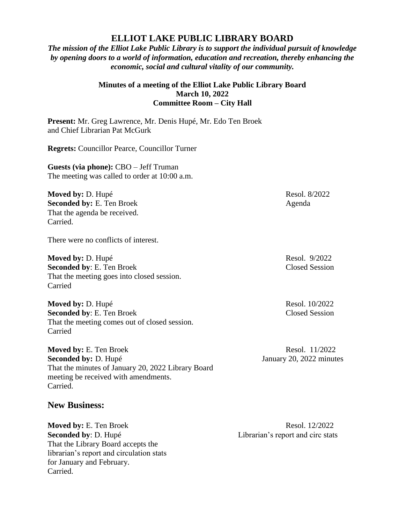## **ELLIOT LAKE PUBLIC LIBRARY BOARD**

*The mission of the Elliot Lake Public Library is to support the individual pursuit of knowledge by opening doors to a world of information, education and recreation, thereby enhancing the economic, social and cultural vitality of our community.*

## **Minutes of a meeting of the Elliot Lake Public Library Board March 10, 2022 Committee Room – City Hall**

**Present:** Mr. Greg Lawrence, Mr. Denis Hupé, Mr. Edo Ten Broek and Chief Librarian Pat McGurk

**Regrets:** Councillor Pearce, Councillor Turner

**Guests (via phone):** CBO – Jeff Truman The meeting was called to order at 10:00 a.m.

**Moved by:** D. Hupé **Resol. 8/2022 Seconded by:** E. Ten Broek Agenda That the agenda be received. Carried.

There were no conflicts of interest.

**Moved by: D. Hupé Resol. 9/2022 Seconded by: E. Ten Broek Closed Session** That the meeting goes into closed session. Carried

**Moved by: D. Hupé Resol. 10/2022 Seconded by: E. Ten Broek Closed Session** That the meeting comes out of closed session. Carried

**Moved by:** E. Ten Broek Resol. 11/2022 **Seconded by:** D. Hupé January 20, 2022 minutes That the minutes of January 20, 2022 Library Board meeting be received with amendments. Carried.

## **New Business:**

**Moved by:** E. Ten Broek Resol. 12/2022 **Seconded by**: D. Hupé Librarian's report and circ stats That the Library Board accepts the librarian's report and circulation stats for January and February. Carried.